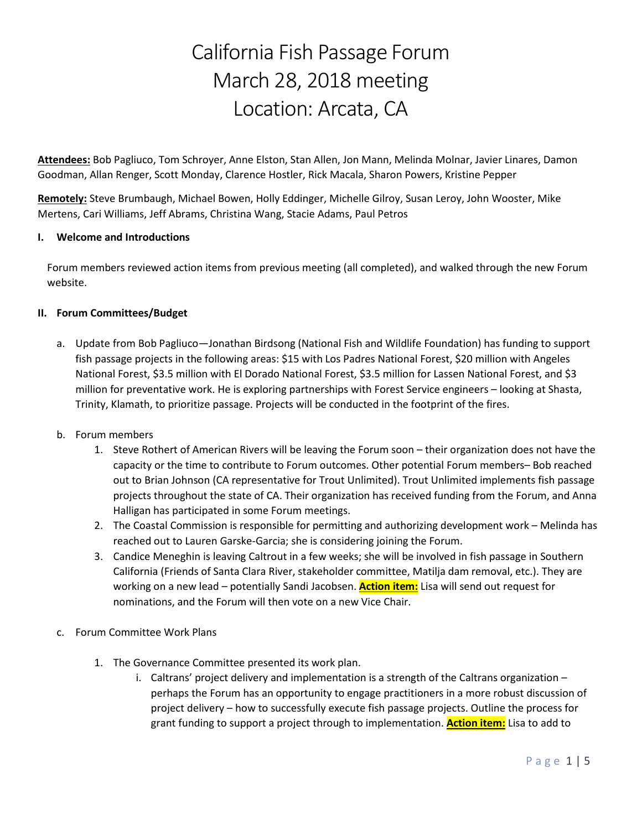# California Fish Passage Forum March 28, 2018 meeting Location: Arcata, CA

**Attendees:** Bob Pagliuco, Tom Schroyer, Anne Elston, Stan Allen, Jon Mann, Melinda Molnar, Javier Linares, Damon Goodman, Allan Renger, Scott Monday, Clarence Hostler, Rick Macala, Sharon Powers, Kristine Pepper

**Remotely:** Steve Brumbaugh, Michael Bowen, Holly Eddinger, Michelle Gilroy, Susan Leroy, John Wooster, Mike Mertens, Cari Williams, Jeff Abrams, Christina Wang, Stacie Adams, Paul Petros

## **I. Welcome and Introductions**

Forum members reviewed action items from previous meeting (all completed), and walked through the new Forum website.

### **II. Forum Committees/Budget**

a. Update from Bob Pagliuco—Jonathan Birdsong (National Fish and Wildlife Foundation) has funding to support fish passage projects in the following areas: \$15 with Los Padres National Forest, \$20 million with Angeles National Forest, \$3.5 million with El Dorado National Forest, \$3.5 million for Lassen National Forest, and \$3 million for preventative work. He is exploring partnerships with Forest Service engineers – looking at Shasta, Trinity, Klamath, to prioritize passage. Projects will be conducted in the footprint of the fires.

### b. Forum members

- 1. Steve Rothert of American Rivers will be leaving the Forum soon their organization does not have the capacity or the time to contribute to Forum outcomes. Other potential Forum members– Bob reached out to Brian Johnson (CA representative for Trout Unlimited). Trout Unlimited implements fish passage projects throughout the state of CA. Their organization has received funding from the Forum, and Anna Halligan has participated in some Forum meetings.
- 2. The Coastal Commission is responsible for permitting and authorizing development work Melinda has reached out to Lauren Garske-Garcia; she is considering joining the Forum.
- 3. Candice Meneghin is leaving Caltrout in a few weeks; she will be involved in fish passage in Southern California (Friends of Santa Clara River, stakeholder committee, Matilja dam removal, etc.). They are working on a new lead – potentially Sandi Jacobsen. **Action item:** Lisa will send out request for nominations, and the Forum will then vote on a new Vice Chair.
- c. Forum Committee Work Plans
	- 1. The Governance Committee presented its work plan.
		- i. Caltrans' project delivery and implementation is a strength of the Caltrans organization perhaps the Forum has an opportunity to engage practitioners in a more robust discussion of project delivery – how to successfully execute fish passage projects. Outline the process for grant funding to support a project through to implementation. **Action item:** Lisa to add to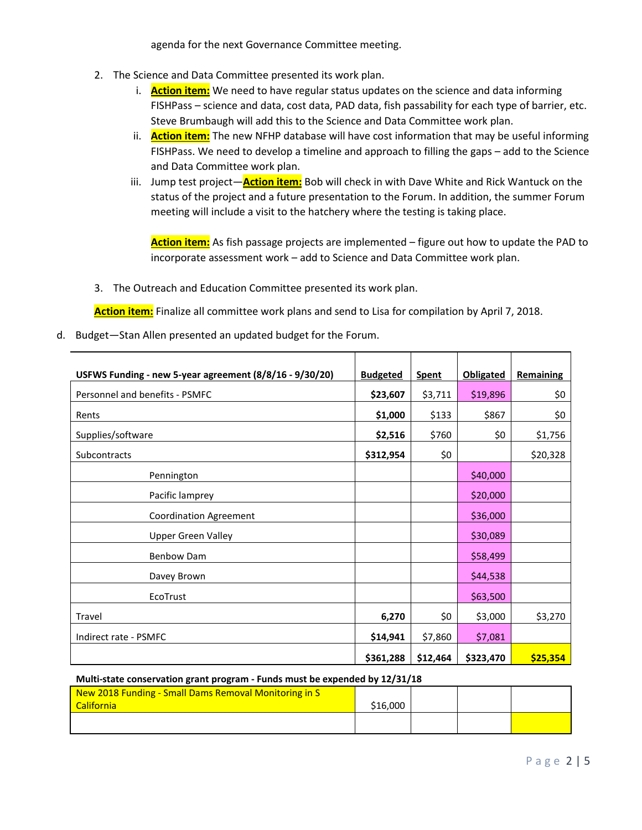agenda for the next Governance Committee meeting.

- 2. The Science and Data Committee presented its work plan.
	- i. **Action item:** We need to have regular status updates on the science and data informing FISHPass – science and data, cost data, PAD data, fish passability for each type of barrier, etc. Steve Brumbaugh will add this to the Science and Data Committee work plan.
	- ii. **Action item:** The new NFHP database will have cost information that may be useful informing FISHPass. We need to develop a timeline and approach to filling the gaps – add to the Science and Data Committee work plan.
	- iii. Jump test project—**Action item:** Bob will check in with Dave White and Rick Wantuck on the status of the project and a future presentation to the Forum. In addition, the summer Forum meeting will include a visit to the hatchery where the testing is taking place.

**Action item:** As fish passage projects are implemented – figure out how to update the PAD to incorporate assessment work – add to Science and Data Committee work plan.

3. The Outreach and Education Committee presented its work plan.

**Action item:** Finalize all committee work plans and send to Lisa for compilation by April 7, 2018.

d. Budget—Stan Allen presented an updated budget for the Forum.

| USFWS Funding - new 5-year agreement (8/8/16 - 9/30/20) | <b>Budgeted</b> | <b>Spent</b> | <b>Obligated</b> | Remaining |
|---------------------------------------------------------|-----------------|--------------|------------------|-----------|
| Personnel and benefits - PSMFC                          | \$23,607        | \$3,711      | \$19,896         | \$0       |
| Rents                                                   | \$1,000         | \$133        | \$867            | \$0       |
| Supplies/software                                       | \$2,516         | \$760        | \$0              | \$1,756   |
| <b>Subcontracts</b>                                     | \$312,954       | \$0          |                  | \$20,328  |
| Pennington                                              |                 |              | \$40,000         |           |
| Pacific lamprey                                         |                 |              | \$20,000         |           |
| <b>Coordination Agreement</b>                           |                 |              | \$36,000         |           |
| <b>Upper Green Valley</b>                               |                 |              | \$30,089         |           |
| <b>Benbow Dam</b>                                       |                 |              | \$58,499         |           |
| Davey Brown                                             |                 |              | \$44,538         |           |
| EcoTrust                                                |                 |              | \$63,500         |           |
| Travel                                                  | 6,270           | \$0          | \$3,000          | \$3,270   |
| Indirect rate - PSMFC                                   | \$14,941        | \$7,860      | \$7,081          |           |
|                                                         | \$361,288       | \$12,464     | \$323,470        | \$25,354  |

**Multi-state conservation grant program - Funds must be expended by 12/31/18**

| New 2018 Funding - Small Dams Removal Monitoring in S |          |  |  |
|-------------------------------------------------------|----------|--|--|
| <b>California</b>                                     | \$16,000 |  |  |
|                                                       |          |  |  |
|                                                       |          |  |  |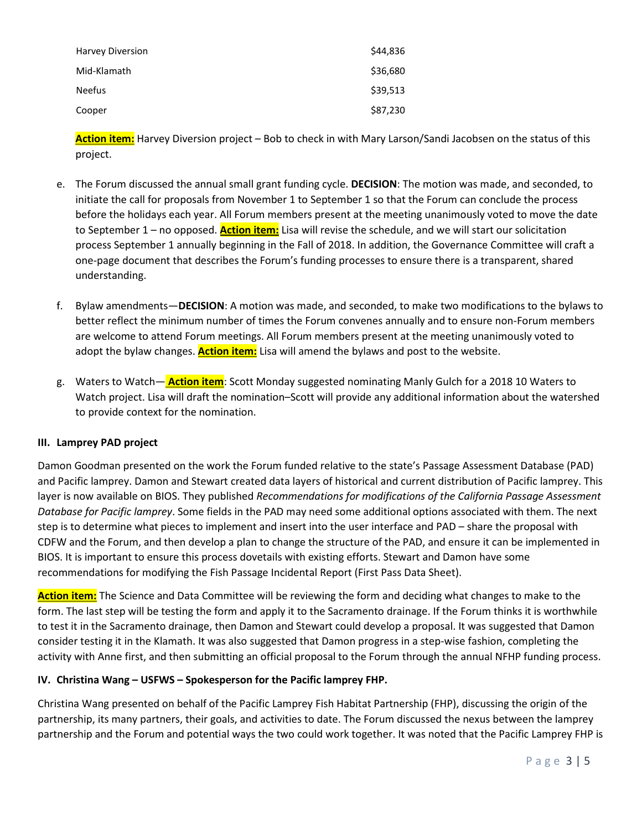| <b>Harvey Diversion</b> | \$44,836 |
|-------------------------|----------|
| Mid-Klamath             | \$36,680 |
| <b>Neefus</b>           | \$39,513 |
| Cooper                  | \$87,230 |

**Action item:** Harvey Diversion project – Bob to check in with Mary Larson/Sandi Jacobsen on the status of this project.

- e. The Forum discussed the annual small grant funding cycle. **DECISION**: The motion was made, and seconded, to initiate the call for proposals from November 1 to September 1 so that the Forum can conclude the process before the holidays each year. All Forum members present at the meeting unanimously voted to move the date to September 1 – no opposed. **Action item:** Lisa will revise the schedule, and we will start our solicitation process September 1 annually beginning in the Fall of 2018. In addition, the Governance Committee will craft a one-page document that describes the Forum's funding processes to ensure there is a transparent, shared understanding.
- f. Bylaw amendments—**DECISION**: A motion was made, and seconded, to make two modifications to the bylaws to better reflect the minimum number of times the Forum convenes annually and to ensure non-Forum members are welcome to attend Forum meetings. All Forum members present at the meeting unanimously voted to adopt the bylaw changes. **Action item:** Lisa will amend the bylaws and post to the website.
- g. Waters to Watch— **Action item**: Scott Monday suggested nominating Manly Gulch for a 2018 10 Waters to Watch project. Lisa will draft the nomination–Scott will provide any additional information about the watershed to provide context for the nomination.

# **III. Lamprey PAD project**

Damon Goodman presented on the work the Forum funded relative to the state's Passage Assessment Database (PAD) and Pacific lamprey. Damon and Stewart created data layers of historical and current distribution of Pacific lamprey. This layer is now available on BIOS. They published *Recommendations for modifications of the California Passage Assessment Database for Pacific lamprey*. Some fields in the PAD may need some additional options associated with them. The next step is to determine what pieces to implement and insert into the user interface and PAD – share the proposal with CDFW and the Forum, and then develop a plan to change the structure of the PAD, and ensure it can be implemented in BIOS. It is important to ensure this process dovetails with existing efforts. Stewart and Damon have some recommendations for modifying the Fish Passage Incidental Report (First Pass Data Sheet).

**Action item:** The Science and Data Committee will be reviewing the form and deciding what changes to make to the form. The last step will be testing the form and apply it to the Sacramento drainage. If the Forum thinks it is worthwhile to test it in the Sacramento drainage, then Damon and Stewart could develop a proposal. It was suggested that Damon consider testing it in the Klamath. It was also suggested that Damon progress in a step-wise fashion, completing the activity with Anne first, and then submitting an official proposal to the Forum through the annual NFHP funding process.

### **IV. Christina Wang – USFWS – Spokesperson for the Pacific lamprey FHP.**

Christina Wang presented on behalf of the Pacific Lamprey Fish Habitat Partnership (FHP), discussing the origin of the partnership, its many partners, their goals, and activities to date. The Forum discussed the nexus between the lamprey partnership and the Forum and potential ways the two could work together. It was noted that the Pacific Lamprey FHP is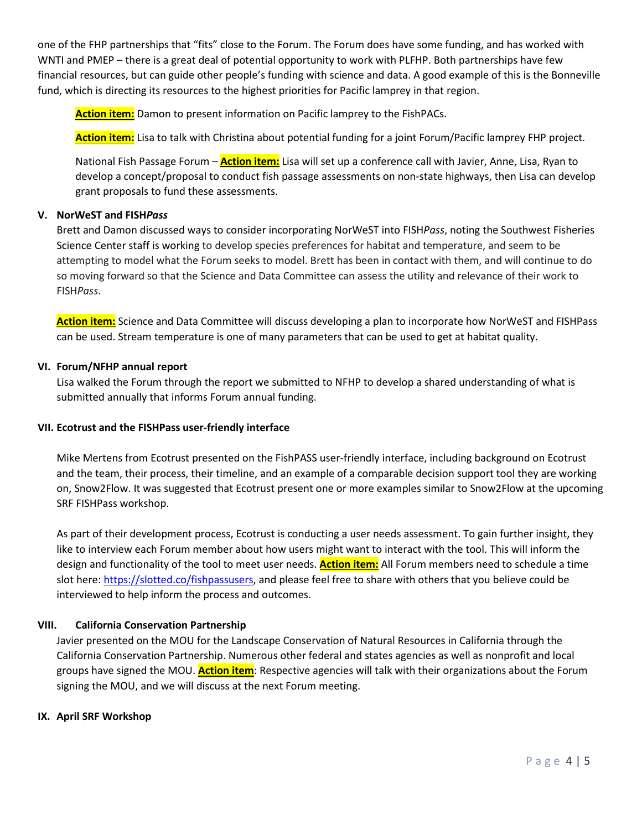one of the FHP partnerships that "fits" close to the Forum. The Forum does have some funding, and has worked with WNTI and PMEP – there is a great deal of potential opportunity to work with PLFHP. Both partnerships have few financial resources, but can guide other people's funding with science and data. A good example of this is the Bonneville fund, which is directing its resources to the highest priorities for Pacific lamprey in that region.

**Action item:** Damon to present information on Pacific lamprey to the FishPACs.

**Action item:** Lisa to talk with Christina about potential funding for a joint Forum/Pacific lamprey FHP project.

National Fish Passage Forum – **Action item:** Lisa will set up a conference call with Javier, Anne, Lisa, Ryan to develop a concept/proposal to conduct fish passage assessments on non-state highways, then Lisa can develop grant proposals to fund these assessments.

### **V. NorWeST and FISH***Pass*

Brett and Damon discussed ways to consider incorporating NorWeST into FISH*Pass*, noting the Southwest Fisheries Science Center staff is working to develop species preferences for habitat and temperature, and seem to be attempting to model what the Forum seeks to model. Brett has been in contact with them, and will continue to do so moving forward so that the Science and Data Committee can assess the utility and relevance of their work to FISH*Pass*.

**Action item:** Science and Data Committee will discuss developing a plan to incorporate how NorWeST and FISHPass can be used. Stream temperature is one of many parameters that can be used to get at habitat quality.

### **VI. Forum/NFHP annual report**

Lisa walked the Forum through the report we submitted to NFHP to develop a shared understanding of what is submitted annually that informs Forum annual funding.

### **VII. Ecotrust and the FISHPass user-friendly interface**

Mike Mertens from Ecotrust presented on the FishPASS user-friendly interface, including background on Ecotrust and the team, their process, their timeline, and an example of a comparable decision support tool they are working on, Snow2Flow. It was suggested that Ecotrust present one or more examples similar to Snow2Flow at the upcoming SRF FISHPass workshop.

As part of their development process, Ecotrust is conducting a user needs assessment. To gain further insight, they like to interview each Forum member about how users might want to interact with the tool. This will inform the design and functionality of the tool to meet user needs. **Action item:** All Forum members need to schedule a time slot here: [https://slotted.co/fishpassusers,](https://slotted.co/fishpassusers) and please feel free to share with others that you believe could be interviewed to help inform the process and outcomes.

### **VIII. California Conservation Partnership**

Javier presented on the MOU for the Landscape Conservation of Natural Resources in California through the California Conservation Partnership. Numerous other federal and states agencies as well as nonprofit and local groups have signed the MOU. **Action item**: Respective agencies will talk with their organizations about the Forum signing the MOU, and we will discuss at the next Forum meeting.

### **IX. April SRF Workshop**